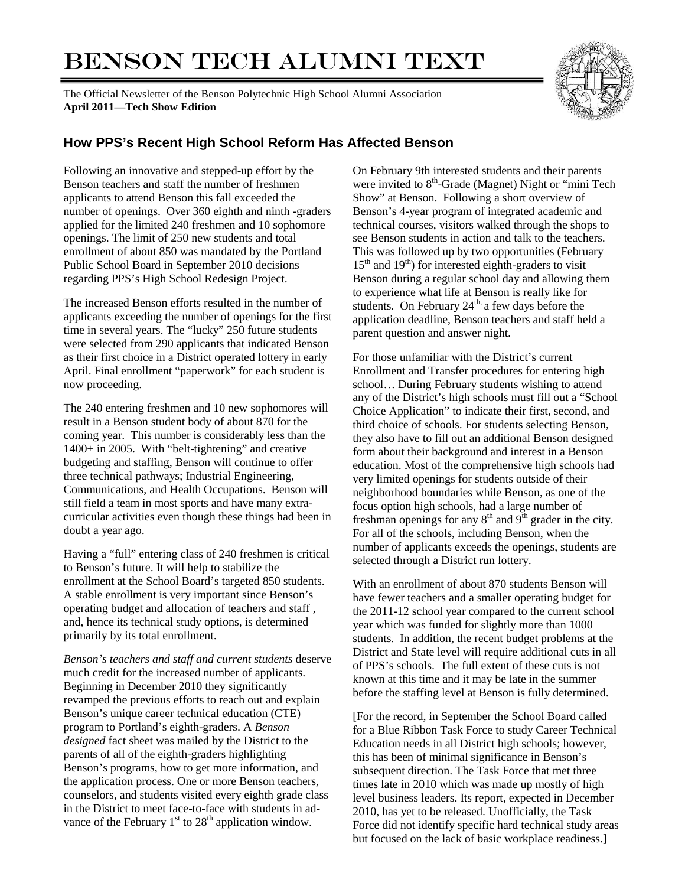# BENSON TECH ALUMNI TEXT

The Official Newsletter of the Benson Polytechnic High School Alumni Association **April 2011—Tech Show Edition**



## **How PPS's Recent High School Reform Has Affected Benson**

Following an innovative and stepped-up effort by the Benson teachers and staff the number of freshmen applicants to attend Benson this fall exceeded the number of openings. Over 360 eighth and ninth -graders applied for the limited 240 freshmen and 10 sophomore openings. The limit of 250 new students and total enrollment of about 850 was mandated by the Portland Public School Board in September 2010 decisions regarding PPS's High School Redesign Project.

The increased Benson efforts resulted in the number of applicants exceeding the number of openings for the first time in several years. The "lucky" 250 future students were selected from 290 applicants that indicated Benson as their first choice in a District operated lottery in early April. Final enrollment "paperwork" for each student is now proceeding.

The 240 entering freshmen and 10 new sophomores will result in a Benson student body of about 870 for the coming year. This number is considerably less than the 1400+ in 2005. With "belt-tightening" and creative budgeting and staffing, Benson will continue to offer three technical pathways; Industrial Engineering, Communications, and Health Occupations. Benson will still field a team in most sports and have many extracurricular activities even though these things had been in doubt a year ago.

Having a "full" entering class of 240 freshmen is critical to Benson's future. It will help to stabilize the enrollment at the School Board's targeted 850 students. A stable enrollment is very important since Benson's operating budget and allocation of teachers and staff , and, hence its technical study options, is determined primarily by its total enrollment.

*Benson's teachers and staff and current students* deserve much credit for the increased number of applicants. Beginning in December 2010 they significantly revamped the previous efforts to reach out and explain Benson's unique career technical education (CTE) program to Portland's eighth-graders. A *Benson designed* fact sheet was mailed by the District to the parents of all of the eighth-graders highlighting Benson's programs, how to get more information, and the application process. One or more Benson teachers, counselors, and students visited every eighth grade class in the District to meet face-to-face with students in advance of the February  $1<sup>st</sup>$  to  $28<sup>th</sup>$  application window.

On February 9th interested students and their parents were invited to 8<sup>th</sup>-Grade (Magnet) Night or "mini Tech Show" at Benson. Following a short overview of Benson's 4-year program of integrated academic and technical courses, visitors walked through the shops to see Benson students in action and talk to the teachers. This was followed up by two opportunities (February  $15<sup>th</sup>$  and  $19<sup>th</sup>$ ) for interested eighth-graders to visit Benson during a regular school day and allowing them to experience what life at Benson is really like for students. On February  $24<sup>th</sup>$ , a few days before the application deadline, Benson teachers and staff held a parent question and answer night.

For those unfamiliar with the District's current Enrollment and Transfer procedures for entering high school… During February students wishing to attend any of the District's high schools must fill out a "School Choice Application" to indicate their first, second, and third choice of schools. For students selecting Benson, they also have to fill out an additional Benson designed form about their background and interest in a Benson education. Most of the comprehensive high schools had very limited openings for students outside of their neighborhood boundaries while Benson, as one of the focus option high schools, had a large number of freshman openings for any  $8<sup>th</sup>$  and  $9<sup>th</sup>$  grader in the city. For all of the schools, including Benson, when the number of applicants exceeds the openings, students are selected through a District run lottery.

With an enrollment of about 870 students Benson will have fewer teachers and a smaller operating budget for the 2011-12 school year compared to the current school year which was funded for slightly more than 1000 students. In addition, the recent budget problems at the District and State level will require additional cuts in all of PPS's schools. The full extent of these cuts is not known at this time and it may be late in the summer before the staffing level at Benson is fully determined.

[For the record, in September the School Board called for a Blue Ribbon Task Force to study Career Technical Education needs in all District high schools; however, this has been of minimal significance in Benson's subsequent direction. The Task Force that met three times late in 2010 which was made up mostly of high level business leaders. Its report, expected in December 2010, has yet to be released. Unofficially, the Task Force did not identify specific hard technical study areas but focused on the lack of basic workplace readiness.]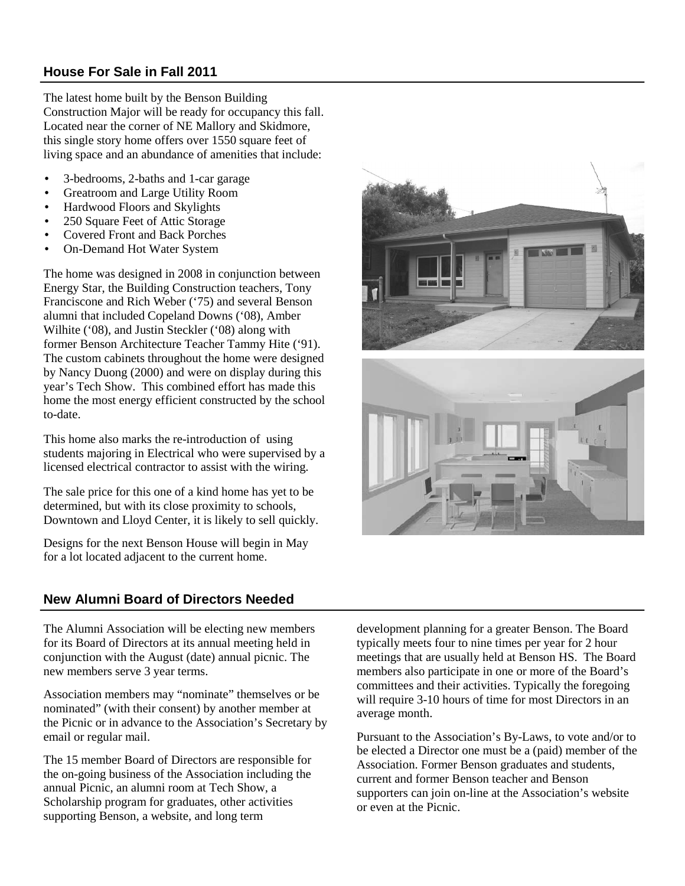#### **House For Sale in Fall 2011**

The latest home built by the Benson Building Construction Major will be ready for occupancy this fall. Located near the corner of NE Mallory and Skidmore, this single story home offers over 1550 square feet of living space and an abundance of amenities that include:

- 3-bedrooms, 2-baths and 1-car garage
- Greatroom and Large Utility Room
- Hardwood Floors and Skylights
- 250 Square Feet of Attic Storage
- Covered Front and Back Porches
- On-Demand Hot Water System

The home was designed in 2008 in conjunction between Energy Star, the Building Construction teachers, Tony Franciscone and Rich Weber ('75) and several Benson alumni that included Copeland Downs ('08), Amber Wilhite ('08), and Justin Steckler ('08) along with former Benson Architecture Teacher Tammy Hite ('91). The custom cabinets throughout the home were designed by Nancy Duong (2000) and were on display during this year's Tech Show. This combined effort has made this home the most energy efficient constructed by the school to-date.

This home also marks the re-introduction of using students majoring in Electrical who were supervised by a licensed electrical contractor to assist with the wiring.

The sale price for this one of a kind home has yet to be determined, but with its close proximity to schools, Downtown and Lloyd Center, it is likely to sell quickly.

Designs for the next Benson House will begin in May for a lot located adjacent to the current home.

## **New Alumni Board of Directors Needed**

The Alumni Association will be electing new members for its Board of Directors at its annual meeting held in conjunction with the August (date) annual picnic. The new members serve 3 year terms.

Association members may "nominate" themselves or be nominated" (with their consent) by another member at the Picnic or in advance to the Association's Secretary by email or regular mail.

The 15 member Board of Directors are responsible for the on-going business of the Association including the annual Picnic, an alumni room at Tech Show, a Scholarship program for graduates, other activities supporting Benson, a website, and long term

development planning for a greater Benson. The Board typically meets four to nine times per year for 2 hour meetings that are usually held at Benson HS. The Board members also participate in one or more of the Board's committees and their activities. Typically the foregoing will require 3-10 hours of time for most Directors in an average month.

Pursuant to the Association's By-Laws, to vote and/or to be elected a Director one must be a (paid) member of the Association. Former Benson graduates and students, current and former Benson teacher and Benson supporters can join on-line at the Association's website or even at the Picnic.

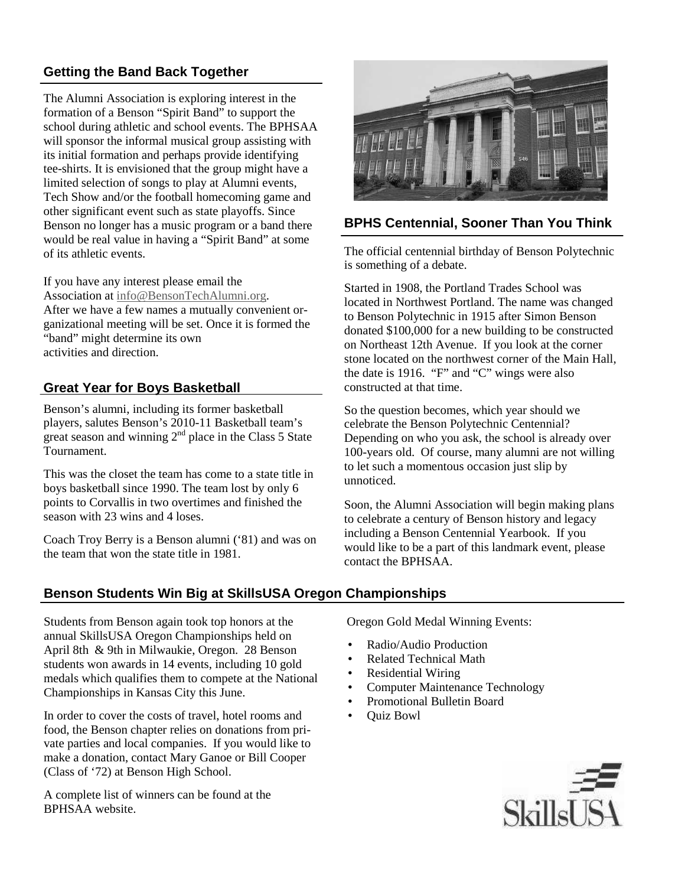## **Getting the Band Back Together**

The Alumni Association is exploring interest in the formation of a Benson "Spirit Band" to support the school during athletic and school events. The BPHSAA will sponsor the informal musical group assisting with its initial formation and perhaps provide identifying tee-shirts. It is envisioned that the group might have a limited selection of songs to play at Alumni events, Tech Show and/or the football homecoming game and other significant event such as state playoffs. Since Benson no longer has a music program or a band there would be real value in having a "Spirit Band" at some of its athletic events.

If you have any interest please email the Association at info@BensonTechAlumni.org. After we have a few names a mutually convenient organizational meeting will be set. Once it is formed the "band" might determine its own activities and direction.

#### **Great Year for Boys Basketball**

Benson's alumni, including its former basketball players, salutes Benson's 2010-11 Basketball team's great season and winning  $2<sup>nd</sup>$  place in the Class 5 State Tournament.

This was the closet the team has come to a state title in boys basketball since 1990. The team lost by only 6 points to Corvallis in two overtimes and finished the season with 23 wins and 4 loses.

Coach Troy Berry is a Benson alumni ('81) and was on the team that won the state title in 1981.

### **Benson Students Win Big at SkillsUSA Oregon Championships**

Students from Benson again took top honors at the annual SkillsUSA Oregon Championships held on April 8th & 9th in Milwaukie, Oregon. 28 Benson students won awards in 14 events, including 10 gold medals which qualifies them to compete at the National Championships in Kansas City this June.

In order to cover the costs of travel, hotel rooms and food, the Benson chapter relies on donations from private parties and local companies. If you would like to make a donation, contact Mary Ganoe or Bill Cooper (Class of '72) at Benson High School.

A complete list of winners can be found at the BPHSAA website.



#### **BPHS Centennial, Sooner Than You Think**

The official centennial birthday of Benson Polytechnic is something of a debate.

Started in 1908, the Portland Trades School was located in Northwest Portland. The name was changed to Benson Polytechnic in 1915 after Simon Benson donated \$100,000 for a new building to be constructed on Northeast 12th Avenue. If you look at the corner stone located on the northwest corner of the Main Hall, the date is 1916. "F" and "C" wings were also constructed at that time.

So the question becomes, which year should we celebrate the Benson Polytechnic Centennial? Depending on who you ask, the school is already over 100-years old. Of course, many alumni are not willing to let such a momentous occasion just slip by unnoticed.

Soon, the Alumni Association will begin making plans to celebrate a century of Benson history and legacy including a Benson Centennial Yearbook. If you would like to be a part of this landmark event, please contact the BPHSAA.

Oregon Gold Medal Winning Events:

- Radio/Audio Production
- Related Technical Math
- Residential Wiring
- Computer Maintenance Technology
- Promotional Bulletin Board
- Quiz Bowl